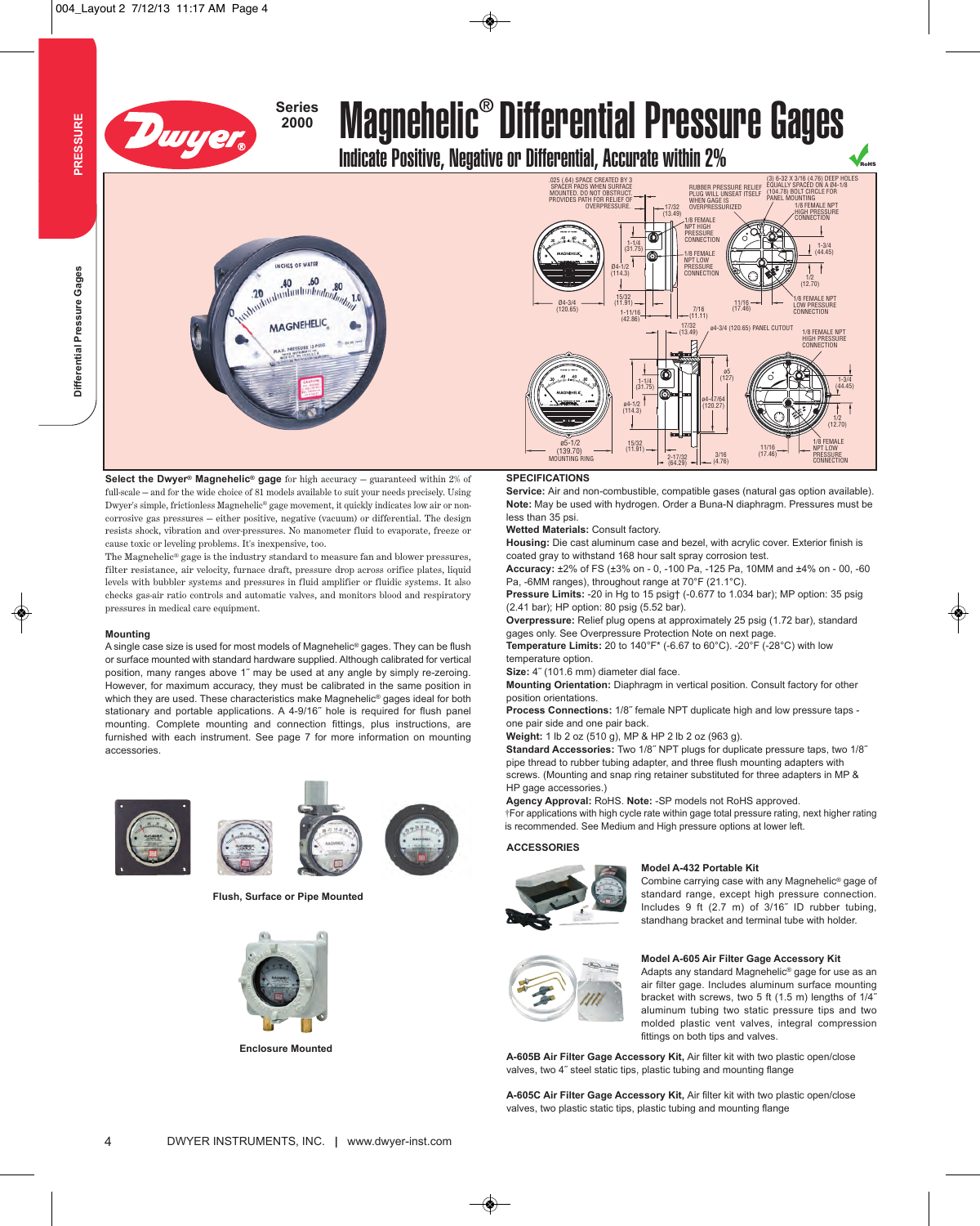

### **Series**

# <sup>3eries</sup> Magnehelic® Differential Pressure Gages

**Indicate Positive, Negative or Differential, Accurate within 2%** 

### INCHES OF WATER .40<br>*shuduubuuhuuhuuhuuhuuhu* 80  $20$ **MAGNEHELIC**

**Select the Dwyer® Magnehelic® gage** for high accuracy — guaranteed within 2% of full-scale — and for the wide choice of 81 models available to suit your needs precisely. Using Dwyer's simple, frictionless Magnehelic® gage movement, it quickly indicates low air or noncorrosive gas pressures — either positive, negative (vacuum) or differential. The design resists shock, vibration and over-pressures. No manometer fluid to evaporate, freeze or cause toxic or leveling problems. It's inexpensive, too.

The Magnehelic® gage is the industry standard to measure fan and blower pressures, filter resistance, air velocity, furnace draft, pressure drop across orifice plates, liquid levels with bubbler systems and pressures in fluid amplifier or fluidic systems. It also checks gas-air ratio controls and automatic valves, and monitors blood and respiratory pressures in medical care equipment.

#### **Mounting**

A single case size is used for most models of Magnehelic® gages. They can be flush or surface mounted with standard hardware supplied. Although calibrated for vertical position, many ranges above 1˝ may be used at any angle by simply re-zeroing. However, for maximum accuracy, they must be calibrated in the same position in which they are used. These characteristics make Magnehelic® gages ideal for both stationary and portable applications. A 4-9/16˝ hole is required for flush panel mounting. Complete mounting and connection fittings, plus instructions, are furnished with each instrument. See page 7 for more information on mounting accessories.





**Flush, Surface or Pipe Mounted**



**Enclosure Mounted**



#### **SPECIFICATIONS**

**Service:** Air and non-combustible, compatible gases (natural gas option available). **Note:** May be used with hydrogen. Order a Buna-N diaphragm. Pressures must be less than 35 psi.

**Wetted Materials:** Consult factory.

**Housing:** Die cast aluminum case and bezel, with acrylic cover. Exterior finish is coated gray to withstand 168 hour salt spray corrosion test.

**Accuracy:** ±2% of FS (±3% on - 0, -100 Pa, -125 Pa, 10MM and ±4% on - 00, -60 Pa, -6MM ranges), throughout range at 70°F (21.1°C).

**Pressure Limits:** -20 in Hg to 15 psig† (-0.677 to 1.034 bar); MP option: 35 psig (2.41 bar); HP option: 80 psig (5.52 bar).

**Overpressure:** Relief plug opens at approximately 25 psig (1.72 bar), standard gages only. See Overpressure Protection Note on next page.

**Temperature Limits:** 20 to 140°F\* (-6.67 to 60°C). -20°F (-28°C) with low temperature option.

Size: 4<sup>"</sup> (101.6 mm) diameter dial face.

**Mounting Orientation:** Diaphragm in vertical position. Consult factory for other position orientations.

**Process Connections:** 1/8˝ female NPT duplicate high and low pressure taps one pair side and one pair back.

**Weight:** 1 lb 2 oz (510 g), MP & HP 2 lb 2 oz (963 g).

**Standard Accessories:** Two 1/8˝ NPT plugs for duplicate pressure taps, two 1/8˝ pipe thread to rubber tubing adapter, and three flush mounting adapters with screws. (Mounting and snap ring retainer substituted for three adapters in MP & HP gage accessories.)

**Agency Approval:** RoHS. **Note:**-SP models not RoHS approved. †For applications with high cycle rate within gage total pressure rating, next higher rating is recommended. See Medium and High pressure options at lower left.

#### **ACCESSORIES**



#### **Model A-432 Portable Kit**

Combine carrying case with any Magnehelic® gage of standard range, except high pressure connection. Includes 9 ft (2.7 m) of 3/16˝ ID rubber tubing, standhang bracket and terminal tube with holder.



#### **Model A-605 Air Filter Gage Accessory Kit**

Adapts any standard Magnehelic® gage for use as an air filter gage. Includes aluminum surface mounting bracket with screws, two 5 ft (1.5 m) lengths of 1/4˝ aluminum tubing two static pressure tips and two molded plastic vent valves, integral compression fittings on both tips and valves.

**A-605B Air Filter Gage Accessory Kit,** Air filter kit with two plastic open/close valves, two 4˝ steel static tips, plastic tubing and mounting flange

**A-605C Air Filter Gage Accessory Kit,** Air filter kit with two plastic open/close valves, two plastic static tips, plastic tubing and mounting flange